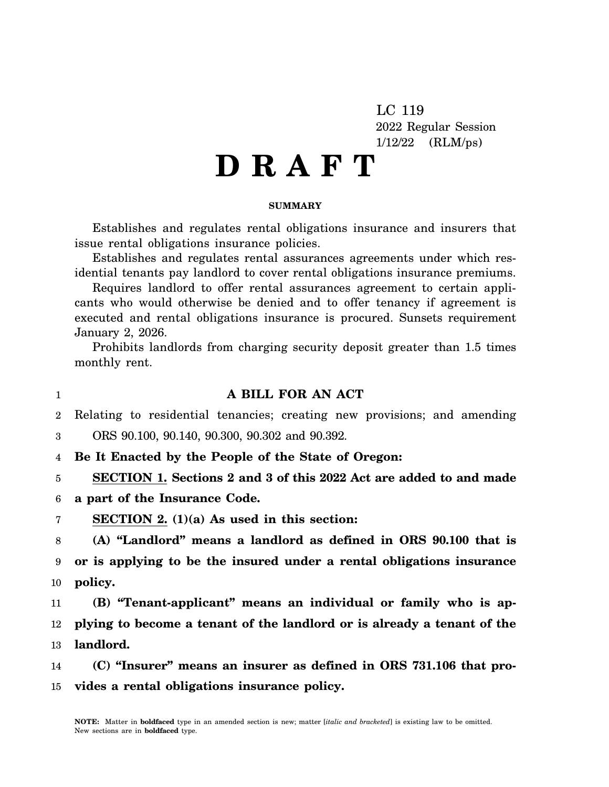LC 119 2022 Regular Session 1/12/22 (RLM/ps)

# **D R A F T**

# **SUMMARY**

Establishes and regulates rental obligations insurance and insurers that issue rental obligations insurance policies.

Establishes and regulates rental assurances agreements under which residential tenants pay landlord to cover rental obligations insurance premiums.

Requires landlord to offer rental assurances agreement to certain applicants who would otherwise be denied and to offer tenancy if agreement is executed and rental obligations insurance is procured. Sunsets requirement January 2, 2026.

Prohibits landlords from charging security deposit greater than 1.5 times monthly rent.

1

# **A BILL FOR AN ACT**

 $\mathfrak{D}$ Relating to residential tenancies; creating new provisions; and amending

3 ORS 90.100, 90.140, 90.300, 90.302 and 90.392.

4 **Be It Enacted by the People of the State of Oregon:**

5 **SECTION 1. Sections 2 and 3 of this 2022 Act are added to and made**

6 **a part of the Insurance Code.**

7 **SECTION 2. (1)(a) As used in this section:**

8 9 10 **(A) "Landlord" means a landlord as defined in ORS 90.100 that is or is applying to be the insured under a rental obligations insurance policy.**

11 12 13 **(B) "Tenant-applicant" means an individual or family who is applying to become a tenant of the landlord or is already a tenant of the landlord.**

14 15 **(C) "Insurer" means an insurer as defined in ORS 731.106 that provides a rental obligations insurance policy.**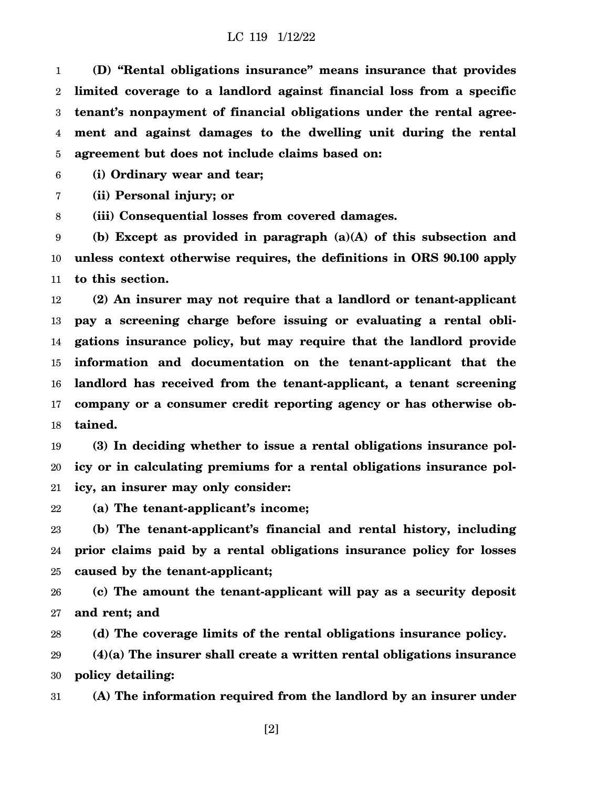1 2 3 4 5 **(D) "Rental obligations insurance" means insurance that provides limited coverage to a landlord against financial loss from a specific tenant's nonpayment of financial obligations under the rental agreement and against damages to the dwelling unit during the rental agreement but does not include claims based on:**

6 **(i) Ordinary wear and tear;**

7 **(ii) Personal injury; or**

8 **(iii) Consequential losses from covered damages.**

9 10 11 **(b) Except as provided in paragraph (a)(A) of this subsection and unless context otherwise requires, the definitions in ORS 90.100 apply to this section.**

12 13 14 15 16 17 18 **(2) An insurer may not require that a landlord or tenant-applicant pay a screening charge before issuing or evaluating a rental obligations insurance policy, but may require that the landlord provide information and documentation on the tenant-applicant that the landlord has received from the tenant-applicant, a tenant screening company or a consumer credit reporting agency or has otherwise obtained.**

19 20 21 **(3) In deciding whether to issue a rental obligations insurance policy or in calculating premiums for a rental obligations insurance policy, an insurer may only consider:**

22 **(a) The tenant-applicant's income;**

23 24 25 **(b) The tenant-applicant's financial and rental history, including prior claims paid by a rental obligations insurance policy for losses caused by the tenant-applicant;**

26 27 **(c) The amount the tenant-applicant will pay as a security deposit and rent; and**

28 **(d) The coverage limits of the rental obligations insurance policy.**

29 30 **(4)(a) The insurer shall create a written rental obligations insurance policy detailing:**

31 **(A) The information required from the landlord by an insurer under**

[2]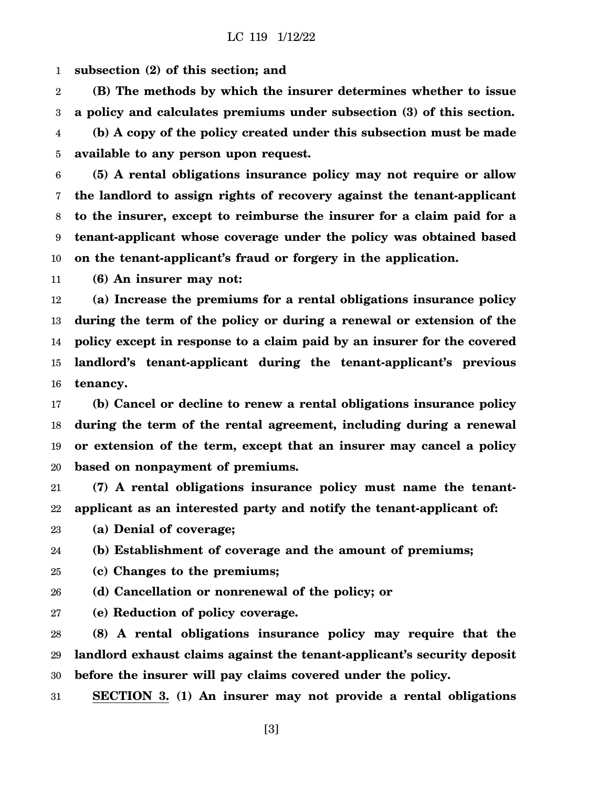1 **subsection (2) of this section; and**

2 3 4 5 **(B) The methods by which the insurer determines whether to issue a policy and calculates premiums under subsection (3) of this section. (b) A copy of the policy created under this subsection must be made available to any person upon request.**

6 7 8 9 10 **(5) A rental obligations insurance policy may not require or allow the landlord to assign rights of recovery against the tenant-applicant to the insurer, except to reimburse the insurer for a claim paid for a tenant-applicant whose coverage under the policy was obtained based on the tenant-applicant's fraud or forgery in the application.**

11 **(6) An insurer may not:**

12 13 14 15 16 **(a) Increase the premiums for a rental obligations insurance policy during the term of the policy or during a renewal or extension of the policy except in response to a claim paid by an insurer for the covered landlord's tenant-applicant during the tenant-applicant's previous tenancy.**

17 18 19 20 **(b) Cancel or decline to renew a rental obligations insurance policy during the term of the rental agreement, including during a renewal or extension of the term, except that an insurer may cancel a policy based on nonpayment of premiums.**

21 22 **(7) A rental obligations insurance policy must name the tenantapplicant as an interested party and notify the tenant-applicant of:**

23 **(a) Denial of coverage;**

24 **(b) Establishment of coverage and the amount of premiums;**

25 **(c) Changes to the premiums;**

26 **(d) Cancellation or nonrenewal of the policy; or**

27 **(e) Reduction of policy coverage.**

28 29 30 **(8) A rental obligations insurance policy may require that the landlord exhaust claims against the tenant-applicant's security deposit before the insurer will pay claims covered under the policy.**

31 **SECTION 3. (1) An insurer may not provide a rental obligations**

[3]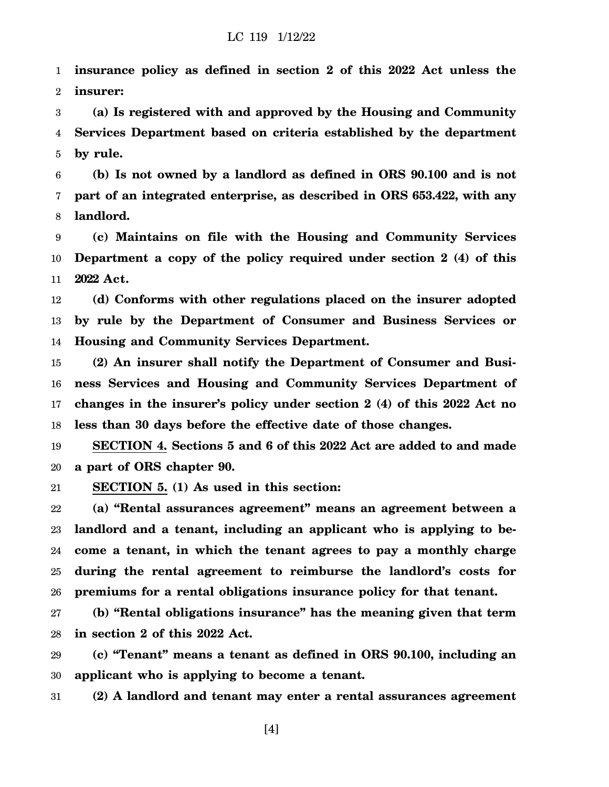1 2 **insurance policy as defined in section 2 of this 2022 Act unless the insurer:**

3 4 5 **(a) Is registered with and approved by the Housing and Community Services Department based on criteria established by the department by rule.**

6 7 8 **(b) Is not owned by a landlord as defined in ORS 90.100 and is not part of an integrated enterprise, as described in ORS 653.422, with any landlord.**

9 10 11 **(c) Maintains on file with the Housing and Community Services Department a copy of the policy required under section 2 (4) of this 2022 Act.**

12 13 14 **(d) Conforms with other regulations placed on the insurer adopted by rule by the Department of Consumer and Business Services or Housing and Community Services Department.**

15 16 17 18 **(2) An insurer shall notify the Department of Consumer and Business Services and Housing and Community Services Department of changes in the insurer's policy under section 2 (4) of this 2022 Act no less than 30 days before the effective date of those changes.**

19 20 **SECTION 4. Sections 5 and 6 of this 2022 Act are added to and made a part of ORS chapter 90.**

21 **SECTION 5. (1) As used in this section:**

22 23 24 25 26 **(a) "Rental assurances agreement" means an agreement between a landlord and a tenant, including an applicant who is applying to become a tenant, in which the tenant agrees to pay a monthly charge during the rental agreement to reimburse the landlord's costs for premiums for a rental obligations insurance policy for that tenant.**

27 28 **(b) "Rental obligations insurance" has the meaning given that term in section 2 of this 2022 Act.**

29 30 **(c) "Tenant" means a tenant as defined in ORS 90.100, including an applicant who is applying to become a tenant.**

31 **(2) A landlord and tenant may enter a rental assurances agreement**

[4]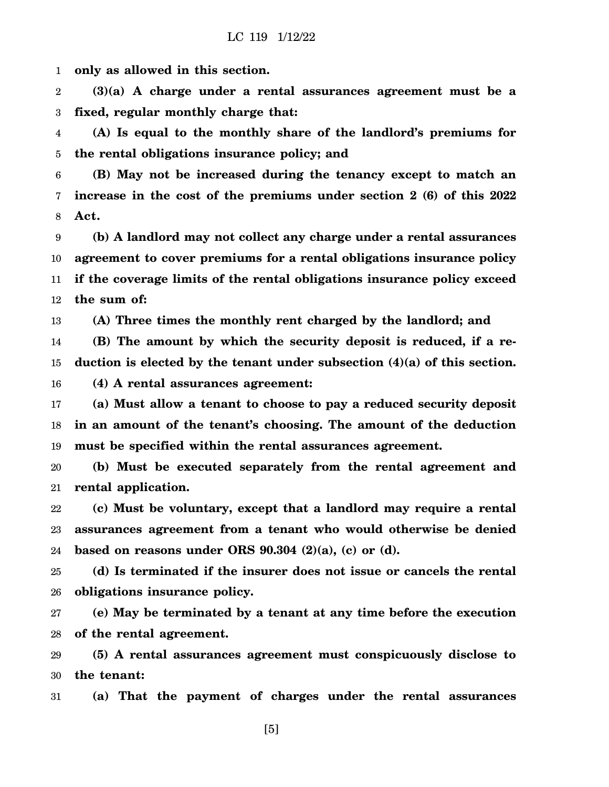1 **only as allowed in this section.**

2 3 **(3)(a) A charge under a rental assurances agreement must be a fixed, regular monthly charge that:**

4 5 **(A) Is equal to the monthly share of the landlord's premiums for the rental obligations insurance policy; and**

6 7 8 **(B) May not be increased during the tenancy except to match an increase in the cost of the premiums under section 2 (6) of this 2022 Act.**

9 10 11 12 **(b) A landlord may not collect any charge under a rental assurances agreement to cover premiums for a rental obligations insurance policy if the coverage limits of the rental obligations insurance policy exceed the sum of:**

13 **(A) Three times the monthly rent charged by the landlord; and**

14 15 **(B) The amount by which the security deposit is reduced, if a reduction is elected by the tenant under subsection (4)(a) of this section.**

16 **(4) A rental assurances agreement:**

17 18 19 **(a) Must allow a tenant to choose to pay a reduced security deposit in an amount of the tenant's choosing. The amount of the deduction must be specified within the rental assurances agreement.**

20 21 **(b) Must be executed separately from the rental agreement and rental application.**

22 23 24 **(c) Must be voluntary, except that a landlord may require a rental assurances agreement from a tenant who would otherwise be denied based on reasons under ORS 90.304 (2)(a), (c) or (d).**

25 26 **(d) Is terminated if the insurer does not issue or cancels the rental obligations insurance policy.**

27 28 **(e) May be terminated by a tenant at any time before the execution of the rental agreement.**

29 30 **(5) A rental assurances agreement must conspicuously disclose to the tenant:**

31 **(a) That the payment of charges under the rental assurances**

[5]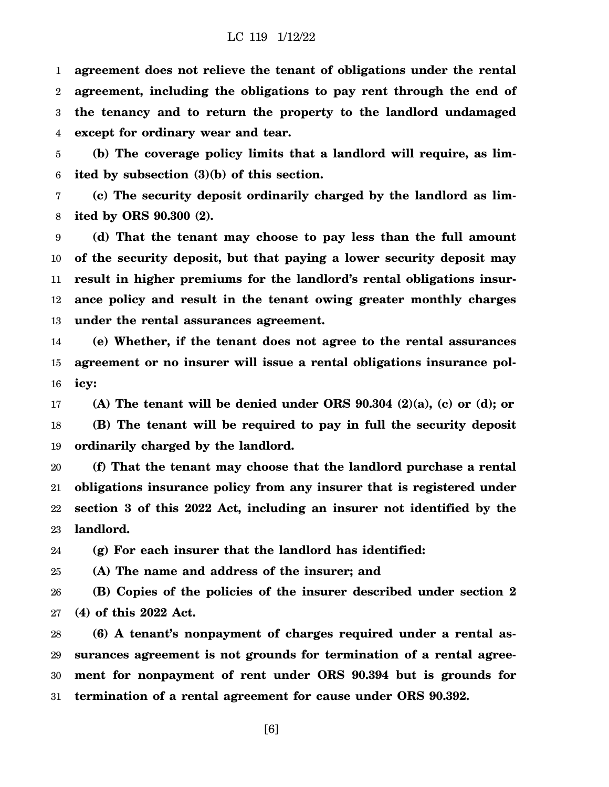1 2 3 4 **agreement does not relieve the tenant of obligations under the rental agreement, including the obligations to pay rent through the end of the tenancy and to return the property to the landlord undamaged except for ordinary wear and tear.**

5 6 **(b) The coverage policy limits that a landlord will require, as limited by subsection (3)(b) of this section.**

7 8 **(c) The security deposit ordinarily charged by the landlord as limited by ORS 90.300 (2).**

9 10 11 12 13 **(d) That the tenant may choose to pay less than the full amount of the security deposit, but that paying a lower security deposit may result in higher premiums for the landlord's rental obligations insurance policy and result in the tenant owing greater monthly charges under the rental assurances agreement.**

14 15 16 **(e) Whether, if the tenant does not agree to the rental assurances agreement or no insurer will issue a rental obligations insurance policy:**

17 18 19 **(A) The tenant will be denied under ORS 90.304 (2)(a), (c) or (d); or (B) The tenant will be required to pay in full the security deposit ordinarily charged by the landlord.**

20 21 22 23 **(f) That the tenant may choose that the landlord purchase a rental obligations insurance policy from any insurer that is registered under section 3 of this 2022 Act, including an insurer not identified by the landlord.**

24 **(g) For each insurer that the landlord has identified:**

25 **(A) The name and address of the insurer; and**

26 27 **(B) Copies of the policies of the insurer described under section 2 (4) of this 2022 Act.**

28 29 30 31 **(6) A tenant's nonpayment of charges required under a rental assurances agreement is not grounds for termination of a rental agreement for nonpayment of rent under ORS 90.394 but is grounds for termination of a rental agreement for cause under ORS 90.392.**

[6]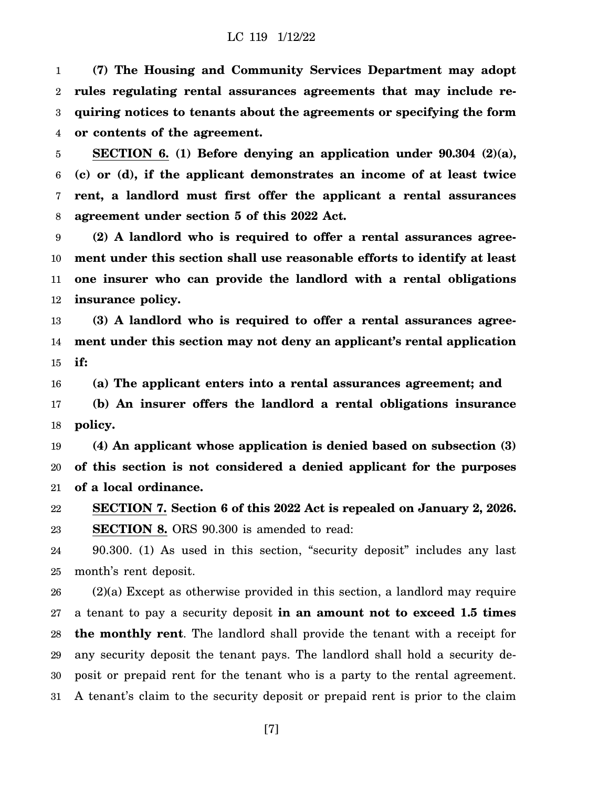1 2 3 4 **(7) The Housing and Community Services Department may adopt rules regulating rental assurances agreements that may include requiring notices to tenants about the agreements or specifying the form or contents of the agreement.**

5 6 7 8 **SECTION 6. (1) Before denying an application under 90.304 (2)(a), (c) or (d), if the applicant demonstrates an income of at least twice rent, a landlord must first offer the applicant a rental assurances agreement under section 5 of this 2022 Act.**

9 10 11 12 **(2) A landlord who is required to offer a rental assurances agreement under this section shall use reasonable efforts to identify at least one insurer who can provide the landlord with a rental obligations insurance policy.**

13 14 15 **(3) A landlord who is required to offer a rental assurances agreement under this section may not deny an applicant's rental application if:**

16 17 18 **(a) The applicant enters into a rental assurances agreement; and (b) An insurer offers the landlord a rental obligations insurance policy.**

19 20 21 **(4) An applicant whose application is denied based on subsection (3) of this section is not considered a denied applicant for the purposes of a local ordinance.**

22 23 **SECTION 7. Section 6 of this 2022 Act is repealed on January 2, 2026. SECTION 8.** ORS 90.300 is amended to read:

24 25 90.300. (1) As used in this section, "security deposit" includes any last month's rent deposit.

26 27 28 29 30 31 (2)(a) Except as otherwise provided in this section, a landlord may require a tenant to pay a security deposit **in an amount not to exceed 1.5 times the monthly rent**. The landlord shall provide the tenant with a receipt for any security deposit the tenant pays. The landlord shall hold a security deposit or prepaid rent for the tenant who is a party to the rental agreement. A tenant's claim to the security deposit or prepaid rent is prior to the claim

[7]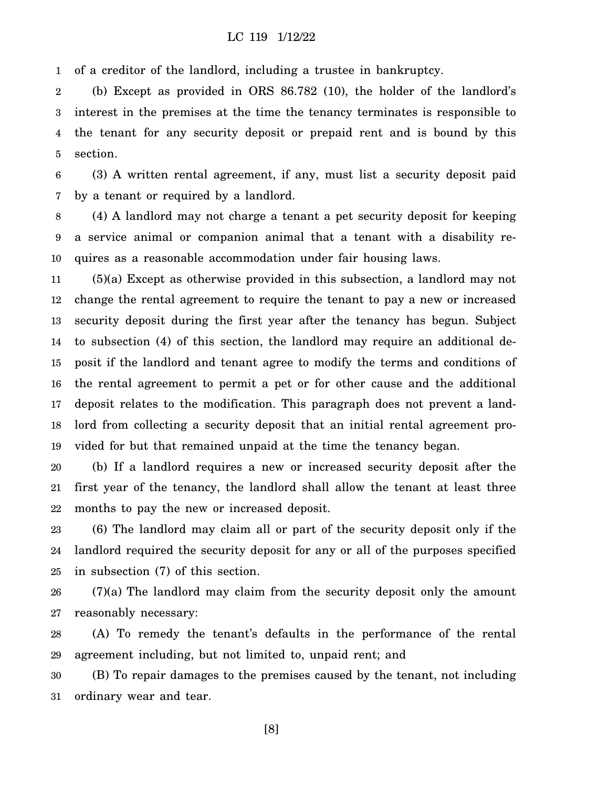1 of a creditor of the landlord, including a trustee in bankruptcy.

2 3 4 5 (b) Except as provided in ORS 86.782 (10), the holder of the landlord's interest in the premises at the time the tenancy terminates is responsible to the tenant for any security deposit or prepaid rent and is bound by this section.

6 7 (3) A written rental agreement, if any, must list a security deposit paid by a tenant or required by a landlord.

8 9 10 (4) A landlord may not charge a tenant a pet security deposit for keeping a service animal or companion animal that a tenant with a disability requires as a reasonable accommodation under fair housing laws.

11 12 13 14 15 16 17 18 19 (5)(a) Except as otherwise provided in this subsection, a landlord may not change the rental agreement to require the tenant to pay a new or increased security deposit during the first year after the tenancy has begun. Subject to subsection (4) of this section, the landlord may require an additional deposit if the landlord and tenant agree to modify the terms and conditions of the rental agreement to permit a pet or for other cause and the additional deposit relates to the modification. This paragraph does not prevent a landlord from collecting a security deposit that an initial rental agreement provided for but that remained unpaid at the time the tenancy began.

20 21 22 (b) If a landlord requires a new or increased security deposit after the first year of the tenancy, the landlord shall allow the tenant at least three months to pay the new or increased deposit.

23 24 25 (6) The landlord may claim all or part of the security deposit only if the landlord required the security deposit for any or all of the purposes specified in subsection (7) of this section.

26 27 (7)(a) The landlord may claim from the security deposit only the amount reasonably necessary:

28 29 (A) To remedy the tenant's defaults in the performance of the rental agreement including, but not limited to, unpaid rent; and

30 31 (B) To repair damages to the premises caused by the tenant, not including ordinary wear and tear.

[8]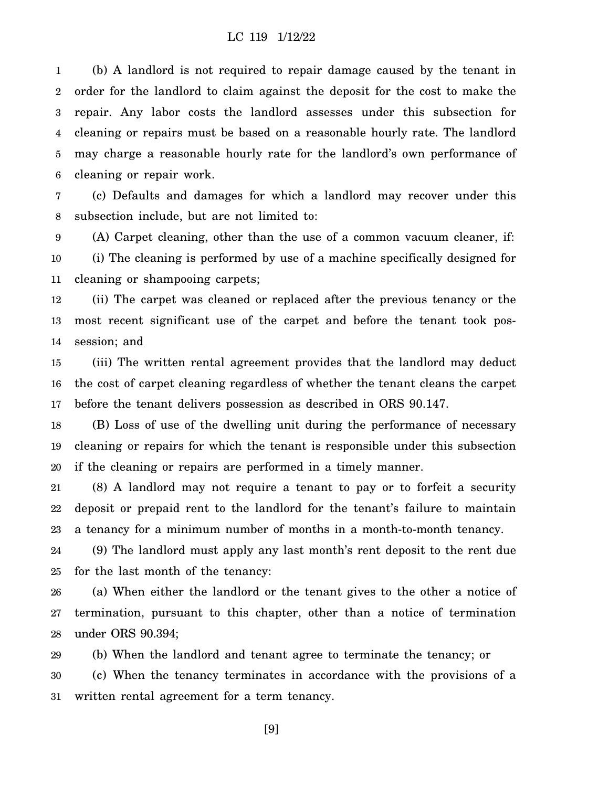1 2 3 4 5 6 (b) A landlord is not required to repair damage caused by the tenant in order for the landlord to claim against the deposit for the cost to make the repair. Any labor costs the landlord assesses under this subsection for cleaning or repairs must be based on a reasonable hourly rate. The landlord may charge a reasonable hourly rate for the landlord's own performance of cleaning or repair work.

7 8 (c) Defaults and damages for which a landlord may recover under this subsection include, but are not limited to:

9 10 11 (A) Carpet cleaning, other than the use of a common vacuum cleaner, if: (i) The cleaning is performed by use of a machine specifically designed for cleaning or shampooing carpets;

12 13 14 (ii) The carpet was cleaned or replaced after the previous tenancy or the most recent significant use of the carpet and before the tenant took possession; and

15 16 17 (iii) The written rental agreement provides that the landlord may deduct the cost of carpet cleaning regardless of whether the tenant cleans the carpet before the tenant delivers possession as described in ORS 90.147.

18 19 20 (B) Loss of use of the dwelling unit during the performance of necessary cleaning or repairs for which the tenant is responsible under this subsection if the cleaning or repairs are performed in a timely manner.

21 22 23 (8) A landlord may not require a tenant to pay or to forfeit a security deposit or prepaid rent to the landlord for the tenant's failure to maintain a tenancy for a minimum number of months in a month-to-month tenancy.

24 25 (9) The landlord must apply any last month's rent deposit to the rent due for the last month of the tenancy:

26 27 28 (a) When either the landlord or the tenant gives to the other a notice of termination, pursuant to this chapter, other than a notice of termination under ORS 90.394;

29 30 31 (b) When the landlord and tenant agree to terminate the tenancy; or (c) When the tenancy terminates in accordance with the provisions of a written rental agreement for a term tenancy.

[9]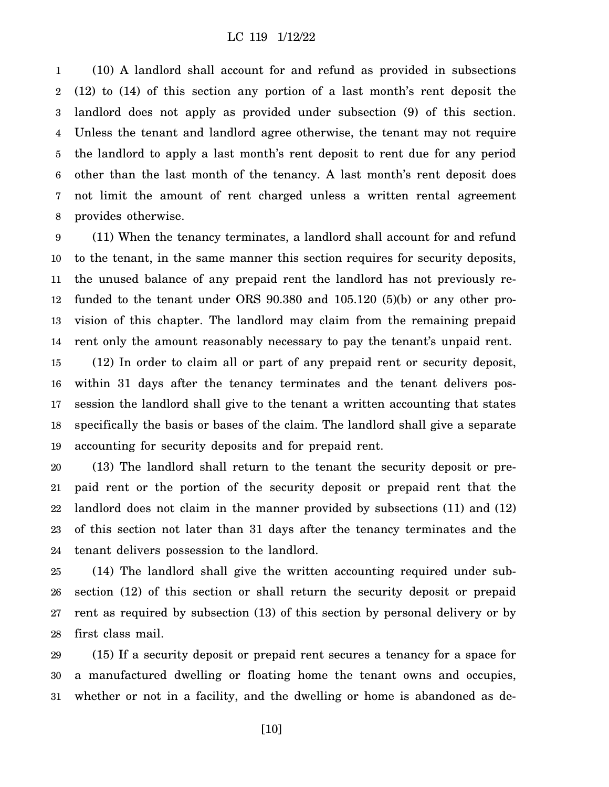1 2 3 4 5 6 7 8 (10) A landlord shall account for and refund as provided in subsections (12) to (14) of this section any portion of a last month's rent deposit the landlord does not apply as provided under subsection (9) of this section. Unless the tenant and landlord agree otherwise, the tenant may not require the landlord to apply a last month's rent deposit to rent due for any period other than the last month of the tenancy. A last month's rent deposit does not limit the amount of rent charged unless a written rental agreement provides otherwise.

9 10 11 12 13 14 (11) When the tenancy terminates, a landlord shall account for and refund to the tenant, in the same manner this section requires for security deposits, the unused balance of any prepaid rent the landlord has not previously refunded to the tenant under ORS 90.380 and 105.120 (5)(b) or any other provision of this chapter. The landlord may claim from the remaining prepaid rent only the amount reasonably necessary to pay the tenant's unpaid rent.

15 16 17 18 19 (12) In order to claim all or part of any prepaid rent or security deposit, within 31 days after the tenancy terminates and the tenant delivers possession the landlord shall give to the tenant a written accounting that states specifically the basis or bases of the claim. The landlord shall give a separate accounting for security deposits and for prepaid rent.

20 21 22 23 24 (13) The landlord shall return to the tenant the security deposit or prepaid rent or the portion of the security deposit or prepaid rent that the landlord does not claim in the manner provided by subsections (11) and (12) of this section not later than 31 days after the tenancy terminates and the tenant delivers possession to the landlord.

25 26 27 28 (14) The landlord shall give the written accounting required under subsection (12) of this section or shall return the security deposit or prepaid rent as required by subsection (13) of this section by personal delivery or by first class mail.

29 30 31 (15) If a security deposit or prepaid rent secures a tenancy for a space for a manufactured dwelling or floating home the tenant owns and occupies, whether or not in a facility, and the dwelling or home is abandoned as de-

[10]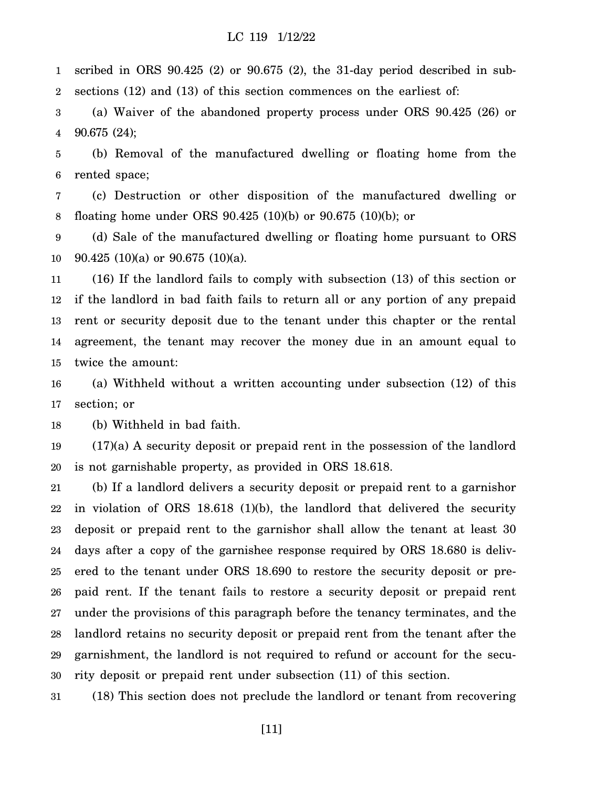1 2 scribed in ORS 90.425 (2) or 90.675 (2), the 31-day period described in subsections (12) and (13) of this section commences on the earliest of:

3 4 (a) Waiver of the abandoned property process under ORS 90.425 (26) or 90.675 (24);

5 6 (b) Removal of the manufactured dwelling or floating home from the rented space;

7 8 (c) Destruction or other disposition of the manufactured dwelling or floating home under ORS 90.425 (10)(b) or 90.675 (10)(b); or

9 10 (d) Sale of the manufactured dwelling or floating home pursuant to ORS 90.425 (10)(a) or 90.675 (10)(a).

11 12 13 14 15 (16) If the landlord fails to comply with subsection (13) of this section or if the landlord in bad faith fails to return all or any portion of any prepaid rent or security deposit due to the tenant under this chapter or the rental agreement, the tenant may recover the money due in an amount equal to twice the amount:

16 17 (a) Withheld without a written accounting under subsection (12) of this section; or

18 (b) Withheld in bad faith.

19 20 (17)(a) A security deposit or prepaid rent in the possession of the landlord is not garnishable property, as provided in ORS 18.618.

21 22 23 24 25 26 27 28 29 30 (b) If a landlord delivers a security deposit or prepaid rent to a garnishor in violation of ORS 18.618 (1)(b), the landlord that delivered the security deposit or prepaid rent to the garnishor shall allow the tenant at least 30 days after a copy of the garnishee response required by ORS 18.680 is delivered to the tenant under ORS 18.690 to restore the security deposit or prepaid rent. If the tenant fails to restore a security deposit or prepaid rent under the provisions of this paragraph before the tenancy terminates, and the landlord retains no security deposit or prepaid rent from the tenant after the garnishment, the landlord is not required to refund or account for the security deposit or prepaid rent under subsection (11) of this section.

31 (18) This section does not preclude the landlord or tenant from recovering

[11]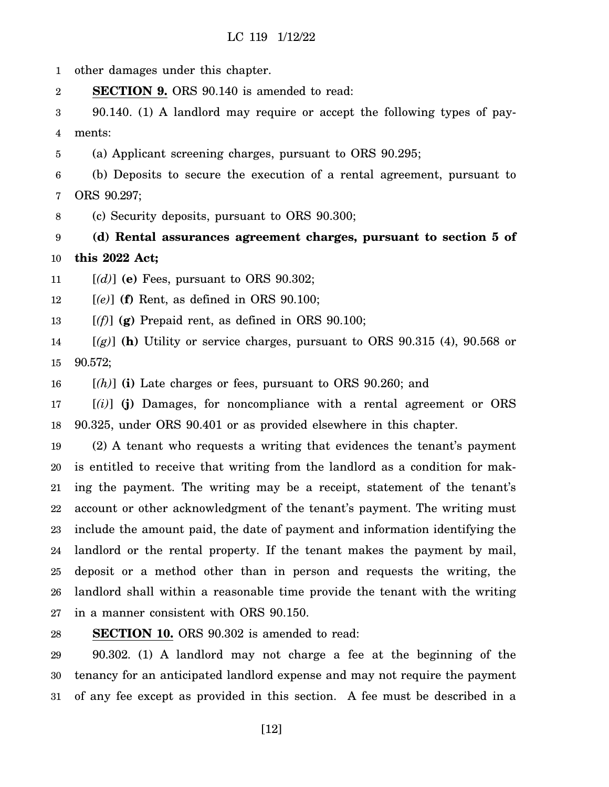1 other damages under this chapter.

2 **SECTION 9.** ORS 90.140 is amended to read:

3 4 90.140. (1) A landlord may require or accept the following types of payments:

5 (a) Applicant screening charges, pursuant to ORS 90.295;

6 7 (b) Deposits to secure the execution of a rental agreement, pursuant to ORS 90.297;

8 (c) Security deposits, pursuant to ORS 90.300;

9 10 **(d) Rental assurances agreement charges, pursuant to section 5 of this 2022 Act;**

11 [*(d)*] **(e)** Fees, pursuant to ORS 90.302;

12 [*(e)*] **(f)** Rent, as defined in ORS 90.100;

13  $[(f)]$  (g) Prepaid rent, as defined in ORS 90.100;

14 15 [*(g)*] **(h)** Utility or service charges, pursuant to ORS 90.315 (4), 90.568 or 90.572;

16 [*(h)*] **(i)** Late charges or fees, pursuant to ORS 90.260; and

17 18 [*(i)*] **(j)** Damages, for noncompliance with a rental agreement or ORS 90.325, under ORS 90.401 or as provided elsewhere in this chapter.

19 20 21 22 23 24 25 26 27 (2) A tenant who requests a writing that evidences the tenant's payment is entitled to receive that writing from the landlord as a condition for making the payment. The writing may be a receipt, statement of the tenant's account or other acknowledgment of the tenant's payment. The writing must include the amount paid, the date of payment and information identifying the landlord or the rental property. If the tenant makes the payment by mail, deposit or a method other than in person and requests the writing, the landlord shall within a reasonable time provide the tenant with the writing in a manner consistent with ORS 90.150.

28 **SECTION 10.** ORS 90.302 is amended to read:

29 30 31 90.302. (1) A landlord may not charge a fee at the beginning of the tenancy for an anticipated landlord expense and may not require the payment of any fee except as provided in this section. A fee must be described in a

[12]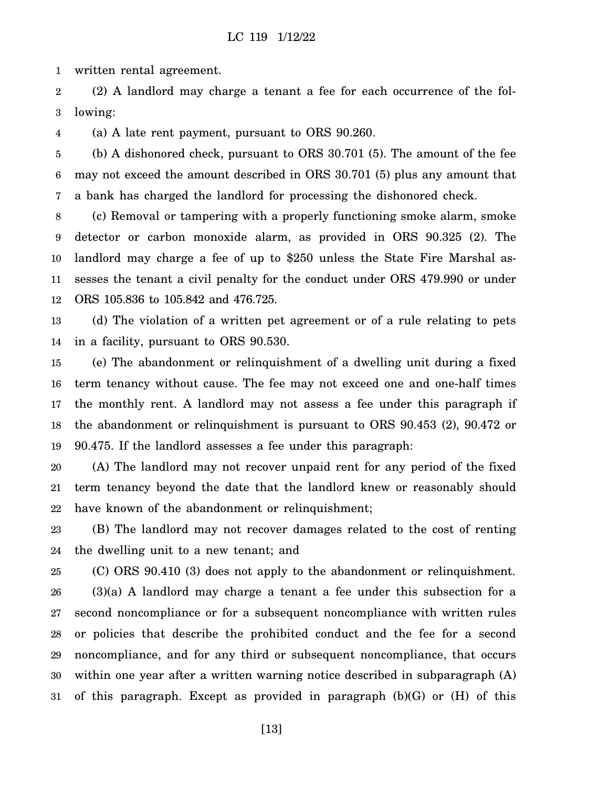1 written rental agreement.

2 3 (2) A landlord may charge a tenant a fee for each occurrence of the following:

4 (a) A late rent payment, pursuant to ORS 90.260.

5 6 7 (b) A dishonored check, pursuant to ORS 30.701 (5). The amount of the fee may not exceed the amount described in ORS 30.701 (5) plus any amount that a bank has charged the landlord for processing the dishonored check.

8 9 10 11 12 (c) Removal or tampering with a properly functioning smoke alarm, smoke detector or carbon monoxide alarm, as provided in ORS 90.325 (2). The landlord may charge a fee of up to \$250 unless the State Fire Marshal assesses the tenant a civil penalty for the conduct under ORS 479.990 or under ORS 105.836 to 105.842 and 476.725.

13 14 (d) The violation of a written pet agreement or of a rule relating to pets in a facility, pursuant to ORS 90.530.

15 16 17 18 19 (e) The abandonment or relinquishment of a dwelling unit during a fixed term tenancy without cause. The fee may not exceed one and one-half times the monthly rent. A landlord may not assess a fee under this paragraph if the abandonment or relinquishment is pursuant to ORS 90.453 (2), 90.472 or 90.475. If the landlord assesses a fee under this paragraph:

20 21 22 (A) The landlord may not recover unpaid rent for any period of the fixed term tenancy beyond the date that the landlord knew or reasonably should have known of the abandonment or relinquishment;

23 24 (B) The landlord may not recover damages related to the cost of renting the dwelling unit to a new tenant; and

25 26 27 28 29 30 31 (C) ORS 90.410 (3) does not apply to the abandonment or relinquishment. (3)(a) A landlord may charge a tenant a fee under this subsection for a second noncompliance or for a subsequent noncompliance with written rules or policies that describe the prohibited conduct and the fee for a second noncompliance, and for any third or subsequent noncompliance, that occurs within one year after a written warning notice described in subparagraph (A) of this paragraph. Except as provided in paragraph (b)(G) or (H) of this

[13]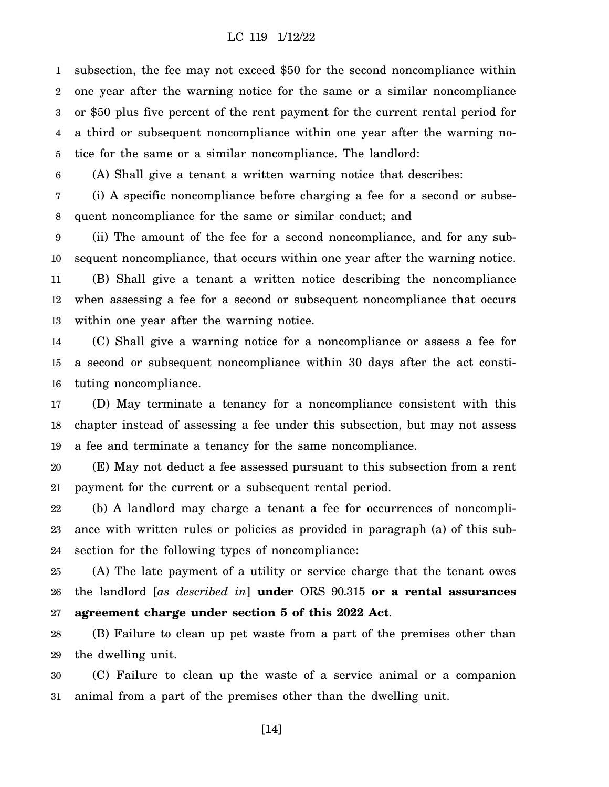1 2 3 4 5 subsection, the fee may not exceed \$50 for the second noncompliance within one year after the warning notice for the same or a similar noncompliance or \$50 plus five percent of the rent payment for the current rental period for a third or subsequent noncompliance within one year after the warning notice for the same or a similar noncompliance. The landlord:

6 (A) Shall give a tenant a written warning notice that describes:

7 8 (i) A specific noncompliance before charging a fee for a second or subsequent noncompliance for the same or similar conduct; and

9 10 11 12 13 (ii) The amount of the fee for a second noncompliance, and for any subsequent noncompliance, that occurs within one year after the warning notice. (B) Shall give a tenant a written notice describing the noncompliance when assessing a fee for a second or subsequent noncompliance that occurs within one year after the warning notice.

14 15 16 (C) Shall give a warning notice for a noncompliance or assess a fee for a second or subsequent noncompliance within 30 days after the act constituting noncompliance.

17 18 19 (D) May terminate a tenancy for a noncompliance consistent with this chapter instead of assessing a fee under this subsection, but may not assess a fee and terminate a tenancy for the same noncompliance.

20 21 (E) May not deduct a fee assessed pursuant to this subsection from a rent payment for the current or a subsequent rental period.

22 23 24 (b) A landlord may charge a tenant a fee for occurrences of noncompliance with written rules or policies as provided in paragraph (a) of this subsection for the following types of noncompliance:

25 26 27 (A) The late payment of a utility or service charge that the tenant owes the landlord [*as described in*] **under** ORS 90.315 **or a rental assurances agreement charge under section 5 of this 2022 Act**.

28 29 (B) Failure to clean up pet waste from a part of the premises other than the dwelling unit.

30 31 (C) Failure to clean up the waste of a service animal or a companion animal from a part of the premises other than the dwelling unit.

[14]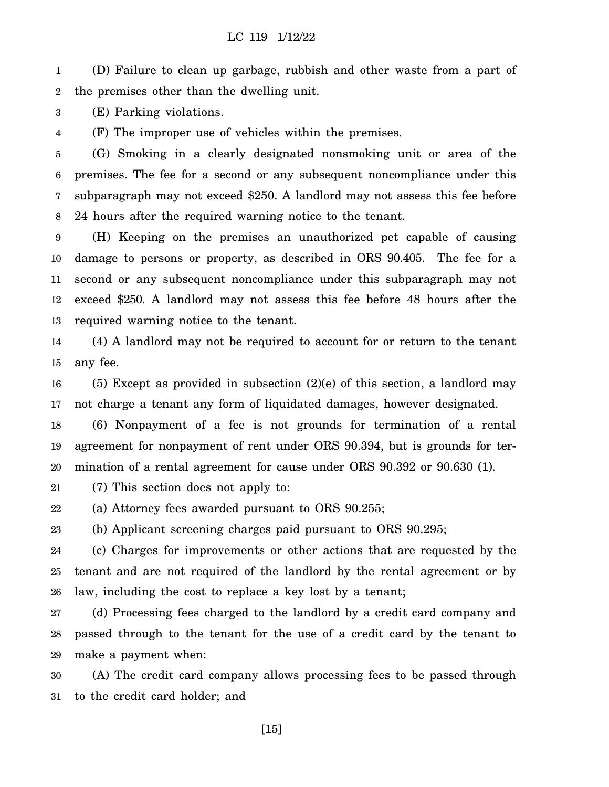1 2 (D) Failure to clean up garbage, rubbish and other waste from a part of the premises other than the dwelling unit.

3 (E) Parking violations.

4 (F) The improper use of vehicles within the premises.

5 6 7 8 (G) Smoking in a clearly designated nonsmoking unit or area of the premises. The fee for a second or any subsequent noncompliance under this subparagraph may not exceed \$250. A landlord may not assess this fee before 24 hours after the required warning notice to the tenant.

9 10 11 12 13 (H) Keeping on the premises an unauthorized pet capable of causing damage to persons or property, as described in ORS 90.405. The fee for a second or any subsequent noncompliance under this subparagraph may not exceed \$250. A landlord may not assess this fee before 48 hours after the required warning notice to the tenant.

14 15 (4) A landlord may not be required to account for or return to the tenant any fee.

16 17  $(5)$  Except as provided in subsection  $(2)(e)$  of this section, a landlord may not charge a tenant any form of liquidated damages, however designated.

18 19 20 (6) Nonpayment of a fee is not grounds for termination of a rental agreement for nonpayment of rent under ORS 90.394, but is grounds for termination of a rental agreement for cause under ORS 90.392 or 90.630 (1).

21 (7) This section does not apply to:

22 (a) Attorney fees awarded pursuant to ORS 90.255;

23 (b) Applicant screening charges paid pursuant to ORS 90.295;

24 25 26 (c) Charges for improvements or other actions that are requested by the tenant and are not required of the landlord by the rental agreement or by law, including the cost to replace a key lost by a tenant;

27 28 29 (d) Processing fees charged to the landlord by a credit card company and passed through to the tenant for the use of a credit card by the tenant to make a payment when:

30 31 (A) The credit card company allows processing fees to be passed through to the credit card holder; and

[15]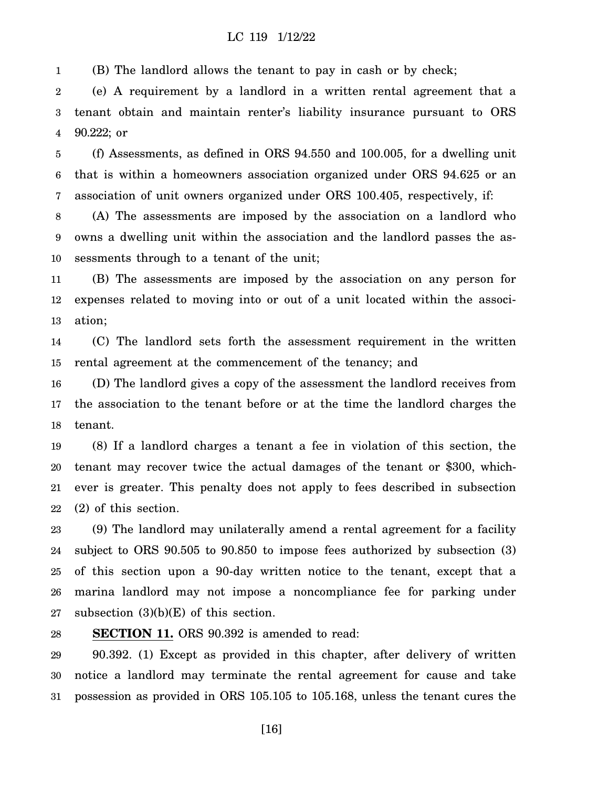1 (B) The landlord allows the tenant to pay in cash or by check;

2 3 4 (e) A requirement by a landlord in a written rental agreement that a tenant obtain and maintain renter's liability insurance pursuant to ORS 90.222; or

5 6 7 (f) Assessments, as defined in ORS 94.550 and 100.005, for a dwelling unit that is within a homeowners association organized under ORS 94.625 or an association of unit owners organized under ORS 100.405, respectively, if:

8 9 10 (A) The assessments are imposed by the association on a landlord who owns a dwelling unit within the association and the landlord passes the assessments through to a tenant of the unit;

11 12 13 (B) The assessments are imposed by the association on any person for expenses related to moving into or out of a unit located within the association;

14 15 (C) The landlord sets forth the assessment requirement in the written rental agreement at the commencement of the tenancy; and

16 17 18 (D) The landlord gives a copy of the assessment the landlord receives from the association to the tenant before or at the time the landlord charges the tenant.

19 20 21 22 (8) If a landlord charges a tenant a fee in violation of this section, the tenant may recover twice the actual damages of the tenant or \$300, whichever is greater. This penalty does not apply to fees described in subsection (2) of this section.

23 24 25 26 27 (9) The landlord may unilaterally amend a rental agreement for a facility subject to ORS 90.505 to 90.850 to impose fees authorized by subsection (3) of this section upon a 90-day written notice to the tenant, except that a marina landlord may not impose a noncompliance fee for parking under subsection  $(3)(b)(E)$  of this section.

28 **SECTION 11.** ORS 90.392 is amended to read:

29 30 31 90.392. (1) Except as provided in this chapter, after delivery of written notice a landlord may terminate the rental agreement for cause and take possession as provided in ORS 105.105 to 105.168, unless the tenant cures the

[16]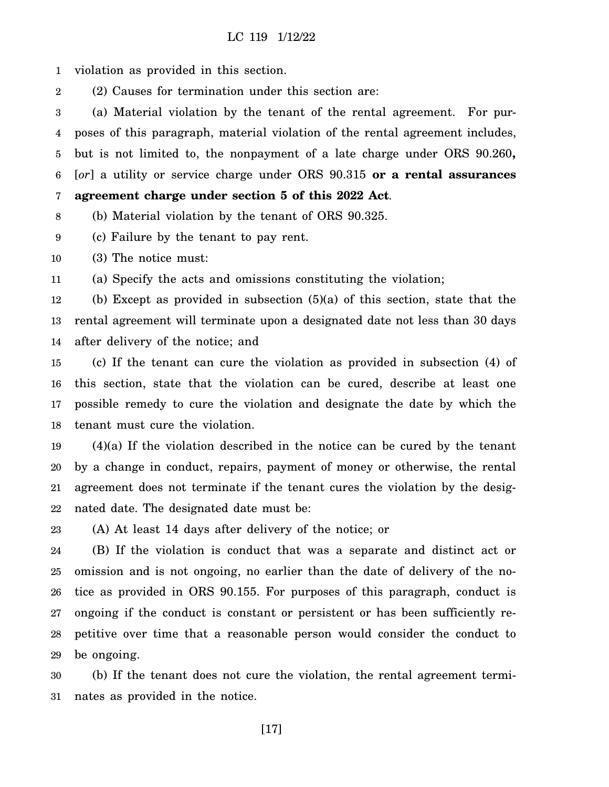1 violation as provided in this section.

2 (2) Causes for termination under this section are:

3 4 5 6 7 (a) Material violation by the tenant of the rental agreement. For purposes of this paragraph, material violation of the rental agreement includes, but is not limited to, the nonpayment of a late charge under ORS 90.260**,** [*or*] a utility or service charge under ORS 90.315 **or a rental assurances agreement charge under section 5 of this 2022 Act**.

8 (b) Material violation by the tenant of ORS 90.325.

9 (c) Failure by the tenant to pay rent.

10 (3) The notice must:

11 (a) Specify the acts and omissions constituting the violation;

12 13 14 (b) Except as provided in subsection (5)(a) of this section, state that the rental agreement will terminate upon a designated date not less than 30 days after delivery of the notice; and

15 16 17 18 (c) If the tenant can cure the violation as provided in subsection (4) of this section, state that the violation can be cured, describe at least one possible remedy to cure the violation and designate the date by which the tenant must cure the violation.

19 20 21 22 (4)(a) If the violation described in the notice can be cured by the tenant by a change in conduct, repairs, payment of money or otherwise, the rental agreement does not terminate if the tenant cures the violation by the designated date. The designated date must be:

23 (A) At least 14 days after delivery of the notice; or

24 25 26 27 28 29 (B) If the violation is conduct that was a separate and distinct act or omission and is not ongoing, no earlier than the date of delivery of the notice as provided in ORS 90.155. For purposes of this paragraph, conduct is ongoing if the conduct is constant or persistent or has been sufficiently repetitive over time that a reasonable person would consider the conduct to be ongoing.

30 31 (b) If the tenant does not cure the violation, the rental agreement terminates as provided in the notice.

[17]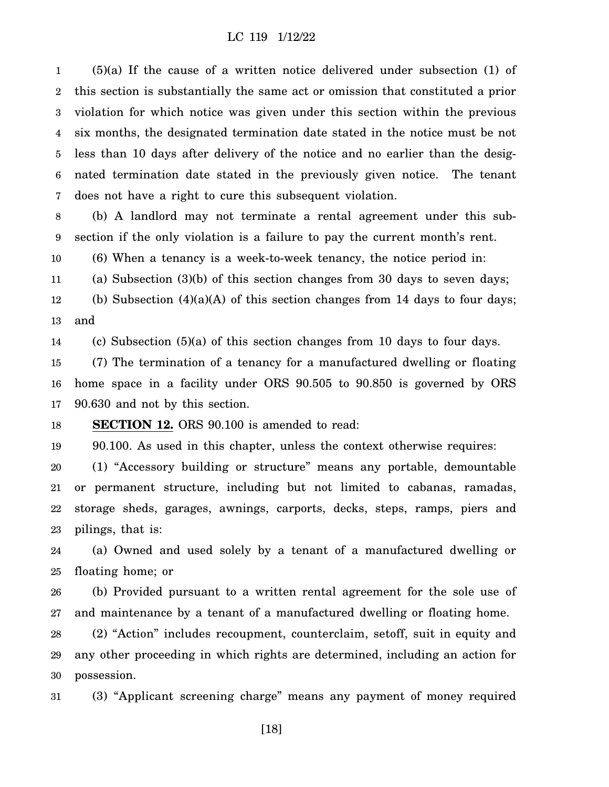1 2 3 4 5 6 7 (5)(a) If the cause of a written notice delivered under subsection (1) of this section is substantially the same act or omission that constituted a prior violation for which notice was given under this section within the previous six months, the designated termination date stated in the notice must be not less than 10 days after delivery of the notice and no earlier than the designated termination date stated in the previously given notice. The tenant does not have a right to cure this subsequent violation.

8 9 (b) A landlord may not terminate a rental agreement under this subsection if the only violation is a failure to pay the current month's rent.

10 (6) When a tenancy is a week-to-week tenancy, the notice period in:

11 (a) Subsection (3)(b) of this section changes from 30 days to seven days;

12 13 (b) Subsection  $(4)(a)(A)$  of this section changes from 14 days to four days; and

14 (c) Subsection (5)(a) of this section changes from 10 days to four days.

15 16 17 (7) The termination of a tenancy for a manufactured dwelling or floating home space in a facility under ORS 90.505 to 90.850 is governed by ORS 90.630 and not by this section.

18 **SECTION 12.** ORS 90.100 is amended to read:

19 90.100. As used in this chapter, unless the context otherwise requires:

20 21 22 23 (1) "Accessory building or structure" means any portable, demountable or permanent structure, including but not limited to cabanas, ramadas, storage sheds, garages, awnings, carports, decks, steps, ramps, piers and pilings, that is:

24 25 (a) Owned and used solely by a tenant of a manufactured dwelling or floating home; or

26 27 (b) Provided pursuant to a written rental agreement for the sole use of and maintenance by a tenant of a manufactured dwelling or floating home.

28 29 30 (2) "Action" includes recoupment, counterclaim, setoff, suit in equity and any other proceeding in which rights are determined, including an action for possession.

31 (3) "Applicant screening charge" means any payment of money required

[18]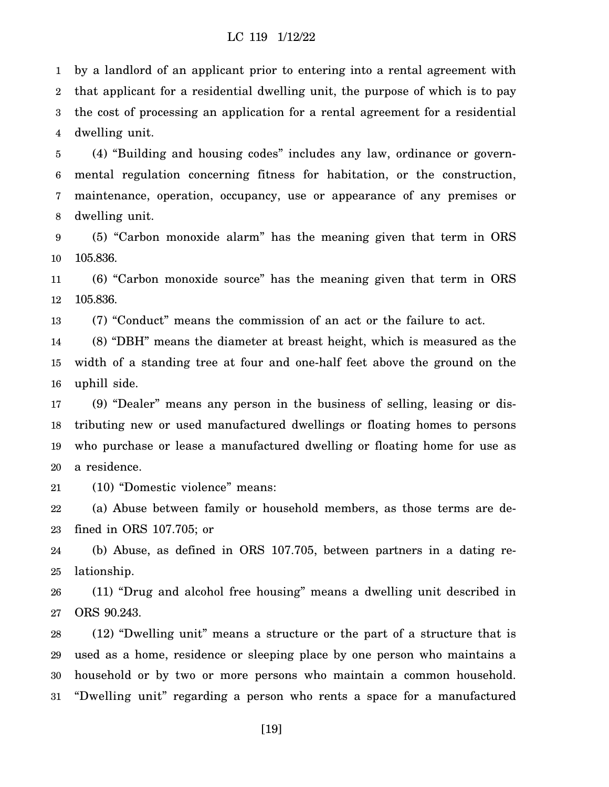1 2 3 4 by a landlord of an applicant prior to entering into a rental agreement with that applicant for a residential dwelling unit, the purpose of which is to pay the cost of processing an application for a rental agreement for a residential dwelling unit.

5 6 7 8 (4) "Building and housing codes" includes any law, ordinance or governmental regulation concerning fitness for habitation, or the construction, maintenance, operation, occupancy, use or appearance of any premises or dwelling unit.

9 10 (5) "Carbon monoxide alarm" has the meaning given that term in ORS 105.836.

11 12 (6) "Carbon monoxide source" has the meaning given that term in ORS 105.836.

13 (7) "Conduct" means the commission of an act or the failure to act.

14 15 16 (8) "DBH" means the diameter at breast height, which is measured as the width of a standing tree at four and one-half feet above the ground on the uphill side.

17 18 19 20 (9) "Dealer" means any person in the business of selling, leasing or distributing new or used manufactured dwellings or floating homes to persons who purchase or lease a manufactured dwelling or floating home for use as a residence.

21 (10) "Domestic violence" means:

22 23 (a) Abuse between family or household members, as those terms are defined in ORS 107.705; or

24 25 (b) Abuse, as defined in ORS 107.705, between partners in a dating relationship.

26 27 (11) "Drug and alcohol free housing" means a dwelling unit described in ORS 90.243.

28 29 30 31 (12) "Dwelling unit" means a structure or the part of a structure that is used as a home, residence or sleeping place by one person who maintains a household or by two or more persons who maintain a common household. "Dwelling unit" regarding a person who rents a space for a manufactured

[19]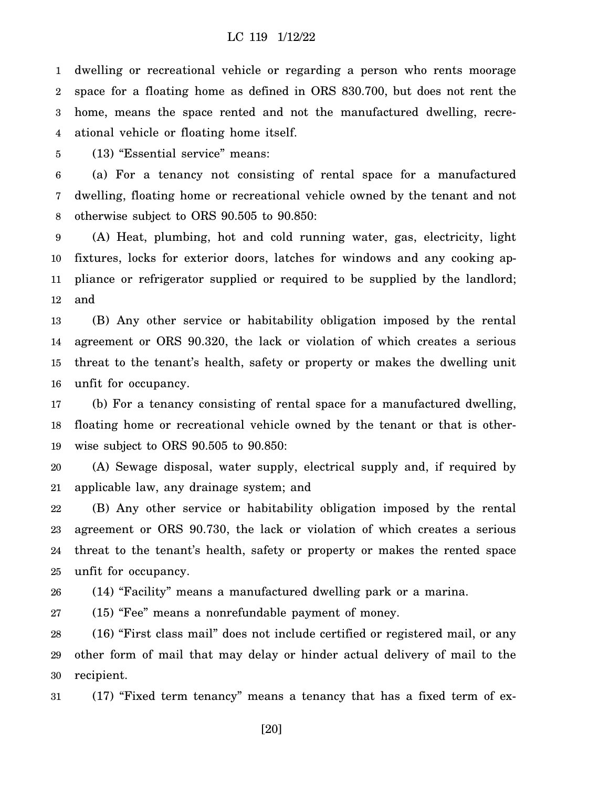1 2 3 4 dwelling or recreational vehicle or regarding a person who rents moorage space for a floating home as defined in ORS 830.700, but does not rent the home, means the space rented and not the manufactured dwelling, recreational vehicle or floating home itself.

5 (13) "Essential service" means:

6 7 8 (a) For a tenancy not consisting of rental space for a manufactured dwelling, floating home or recreational vehicle owned by the tenant and not otherwise subject to ORS 90.505 to 90.850:

9 10 11 12 (A) Heat, plumbing, hot and cold running water, gas, electricity, light fixtures, locks for exterior doors, latches for windows and any cooking appliance or refrigerator supplied or required to be supplied by the landlord; and

13 14 15 16 (B) Any other service or habitability obligation imposed by the rental agreement or ORS 90.320, the lack or violation of which creates a serious threat to the tenant's health, safety or property or makes the dwelling unit unfit for occupancy.

17 18 19 (b) For a tenancy consisting of rental space for a manufactured dwelling, floating home or recreational vehicle owned by the tenant or that is otherwise subject to ORS 90.505 to 90.850:

20 21 (A) Sewage disposal, water supply, electrical supply and, if required by applicable law, any drainage system; and

22 23 24 25 (B) Any other service or habitability obligation imposed by the rental agreement or ORS 90.730, the lack or violation of which creates a serious threat to the tenant's health, safety or property or makes the rented space unfit for occupancy.

26 (14) "Facility" means a manufactured dwelling park or a marina.

27 (15) "Fee" means a nonrefundable payment of money.

28 29 30 (16) "First class mail" does not include certified or registered mail, or any other form of mail that may delay or hinder actual delivery of mail to the recipient.

31 (17) "Fixed term tenancy" means a tenancy that has a fixed term of ex-

[20]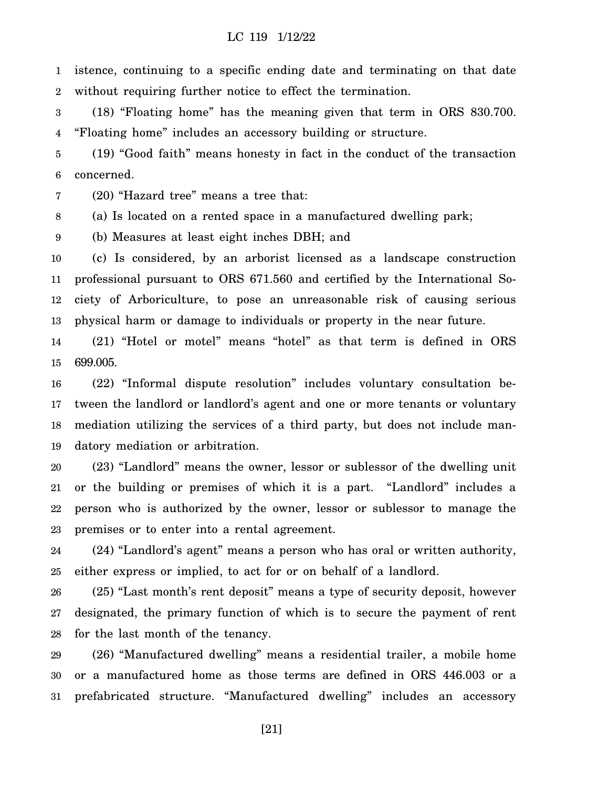1 2 istence, continuing to a specific ending date and terminating on that date without requiring further notice to effect the termination.

3 4 (18) "Floating home" has the meaning given that term in ORS 830.700. "Floating home" includes an accessory building or structure.

5 6 (19) "Good faith" means honesty in fact in the conduct of the transaction concerned.

7 (20) "Hazard tree" means a tree that:

8 (a) Is located on a rented space in a manufactured dwelling park;

9 (b) Measures at least eight inches DBH; and

10 11 12 13 (c) Is considered, by an arborist licensed as a landscape construction professional pursuant to ORS 671.560 and certified by the International Society of Arboriculture, to pose an unreasonable risk of causing serious physical harm or damage to individuals or property in the near future.

14 15 (21) "Hotel or motel" means "hotel" as that term is defined in ORS 699.005.

16 17 18 19 (22) "Informal dispute resolution" includes voluntary consultation between the landlord or landlord's agent and one or more tenants or voluntary mediation utilizing the services of a third party, but does not include mandatory mediation or arbitration.

20 21 22 23 (23) "Landlord" means the owner, lessor or sublessor of the dwelling unit or the building or premises of which it is a part. "Landlord" includes a person who is authorized by the owner, lessor or sublessor to manage the premises or to enter into a rental agreement.

24 25 (24) "Landlord's agent" means a person who has oral or written authority, either express or implied, to act for or on behalf of a landlord.

26 27 28 (25) "Last month's rent deposit" means a type of security deposit, however designated, the primary function of which is to secure the payment of rent for the last month of the tenancy.

29 30 31 (26) "Manufactured dwelling" means a residential trailer, a mobile home or a manufactured home as those terms are defined in ORS 446.003 or a prefabricated structure. "Manufactured dwelling" includes an accessory

[21]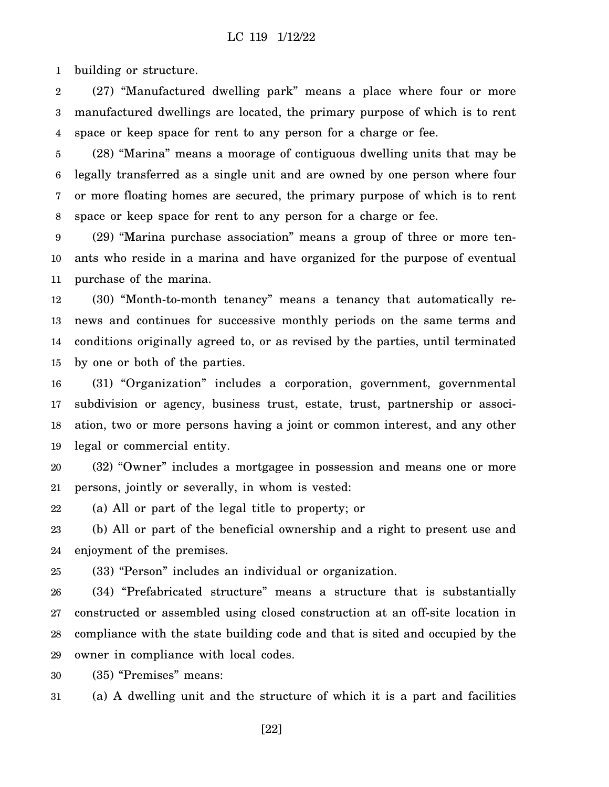1 building or structure.

2 3 4 (27) "Manufactured dwelling park" means a place where four or more manufactured dwellings are located, the primary purpose of which is to rent space or keep space for rent to any person for a charge or fee.

5 6 7 8 (28) "Marina" means a moorage of contiguous dwelling units that may be legally transferred as a single unit and are owned by one person where four or more floating homes are secured, the primary purpose of which is to rent space or keep space for rent to any person for a charge or fee.

9 10 11 (29) "Marina purchase association" means a group of three or more tenants who reside in a marina and have organized for the purpose of eventual purchase of the marina.

12 13 14 15 (30) "Month-to-month tenancy" means a tenancy that automatically renews and continues for successive monthly periods on the same terms and conditions originally agreed to, or as revised by the parties, until terminated by one or both of the parties.

16 17 18 19 (31) "Organization" includes a corporation, government, governmental subdivision or agency, business trust, estate, trust, partnership or association, two or more persons having a joint or common interest, and any other legal or commercial entity.

20 21 (32) "Owner" includes a mortgagee in possession and means one or more persons, jointly or severally, in whom is vested:

22 (a) All or part of the legal title to property; or

23 24 (b) All or part of the beneficial ownership and a right to present use and enjoyment of the premises.

25 (33) "Person" includes an individual or organization.

26 27 28 29 (34) "Prefabricated structure" means a structure that is substantially constructed or assembled using closed construction at an off-site location in compliance with the state building code and that is sited and occupied by the owner in compliance with local codes.

30 (35) "Premises" means:

31 (a) A dwelling unit and the structure of which it is a part and facilities

[22]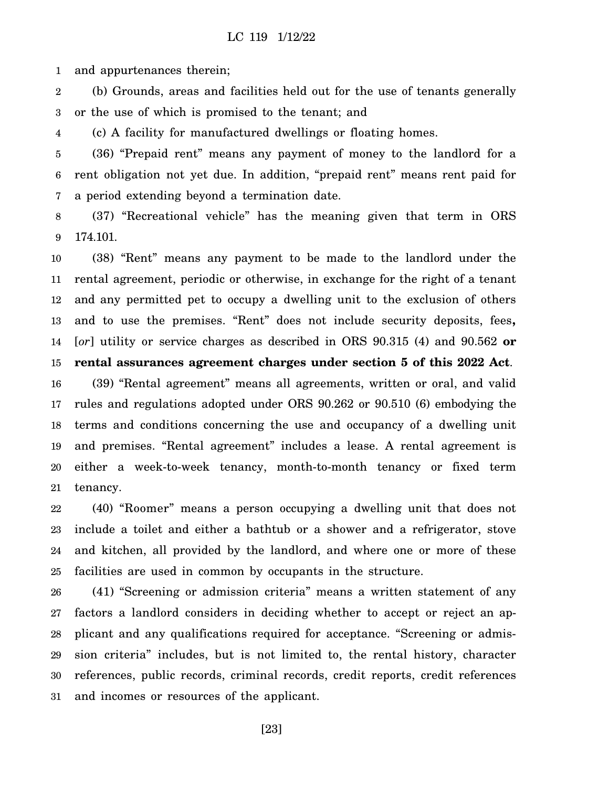1 and appurtenances therein;

2 3 (b) Grounds, areas and facilities held out for the use of tenants generally or the use of which is promised to the tenant; and

4 (c) A facility for manufactured dwellings or floating homes.

5 6 7 (36) "Prepaid rent" means any payment of money to the landlord for a rent obligation not yet due. In addition, "prepaid rent" means rent paid for a period extending beyond a termination date.

8 9 (37) "Recreational vehicle" has the meaning given that term in ORS 174.101.

10 11 12 13 14 15 (38) "Rent" means any payment to be made to the landlord under the rental agreement, periodic or otherwise, in exchange for the right of a tenant and any permitted pet to occupy a dwelling unit to the exclusion of others and to use the premises. "Rent" does not include security deposits, fees**,** [*or*] utility or service charges as described in ORS 90.315 (4) and 90.562 **or rental assurances agreement charges under section 5 of this 2022 Act**.

16 17 18 19 20 21 (39) "Rental agreement" means all agreements, written or oral, and valid rules and regulations adopted under ORS 90.262 or 90.510 (6) embodying the terms and conditions concerning the use and occupancy of a dwelling unit and premises. "Rental agreement" includes a lease. A rental agreement is either a week-to-week tenancy, month-to-month tenancy or fixed term tenancy.

22 23 24 25 (40) "Roomer" means a person occupying a dwelling unit that does not include a toilet and either a bathtub or a shower and a refrigerator, stove and kitchen, all provided by the landlord, and where one or more of these facilities are used in common by occupants in the structure.

26 27 28 29 30 31 (41) "Screening or admission criteria" means a written statement of any factors a landlord considers in deciding whether to accept or reject an applicant and any qualifications required for acceptance. "Screening or admission criteria" includes, but is not limited to, the rental history, character references, public records, criminal records, credit reports, credit references and incomes or resources of the applicant.

[23]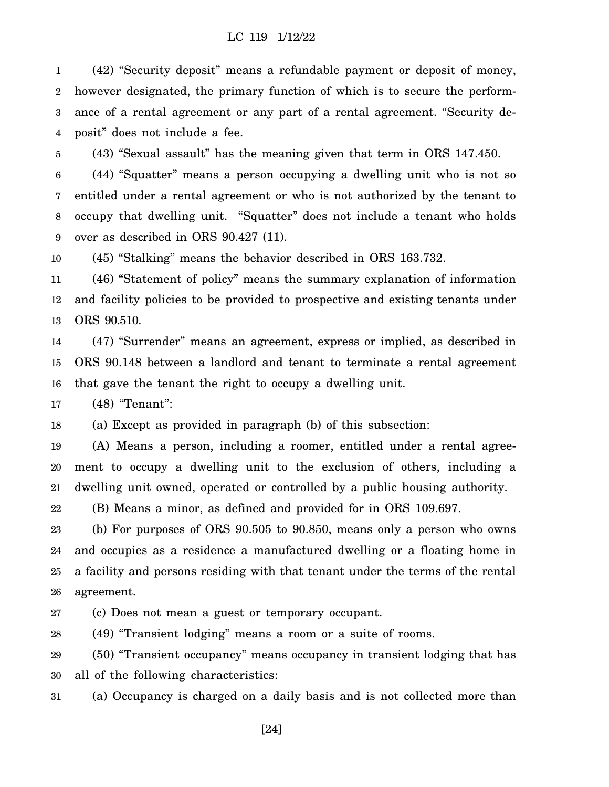1 2 3 4 (42) "Security deposit" means a refundable payment or deposit of money, however designated, the primary function of which is to secure the performance of a rental agreement or any part of a rental agreement. "Security deposit" does not include a fee.

5 (43) "Sexual assault" has the meaning given that term in ORS 147.450.

6 7 8 9 (44) "Squatter" means a person occupying a dwelling unit who is not so entitled under a rental agreement or who is not authorized by the tenant to occupy that dwelling unit. "Squatter" does not include a tenant who holds over as described in ORS 90.427 (11).

10 (45) "Stalking" means the behavior described in ORS 163.732.

11 12 13 (46) "Statement of policy" means the summary explanation of information and facility policies to be provided to prospective and existing tenants under ORS 90.510.

14 15 16 (47) "Surrender" means an agreement, express or implied, as described in ORS 90.148 between a landlord and tenant to terminate a rental agreement that gave the tenant the right to occupy a dwelling unit.

17 (48) "Tenant":

18 (a) Except as provided in paragraph (b) of this subsection:

19 20 21 (A) Means a person, including a roomer, entitled under a rental agreement to occupy a dwelling unit to the exclusion of others, including a dwelling unit owned, operated or controlled by a public housing authority.

22 (B) Means a minor, as defined and provided for in ORS 109.697.

23 24 25 26 (b) For purposes of ORS 90.505 to 90.850, means only a person who owns and occupies as a residence a manufactured dwelling or a floating home in a facility and persons residing with that tenant under the terms of the rental agreement.

27 (c) Does not mean a guest or temporary occupant.

28 (49) "Transient lodging" means a room or a suite of rooms.

29 30 (50) "Transient occupancy" means occupancy in transient lodging that has all of the following characteristics:

31 (a) Occupancy is charged on a daily basis and is not collected more than

[24]